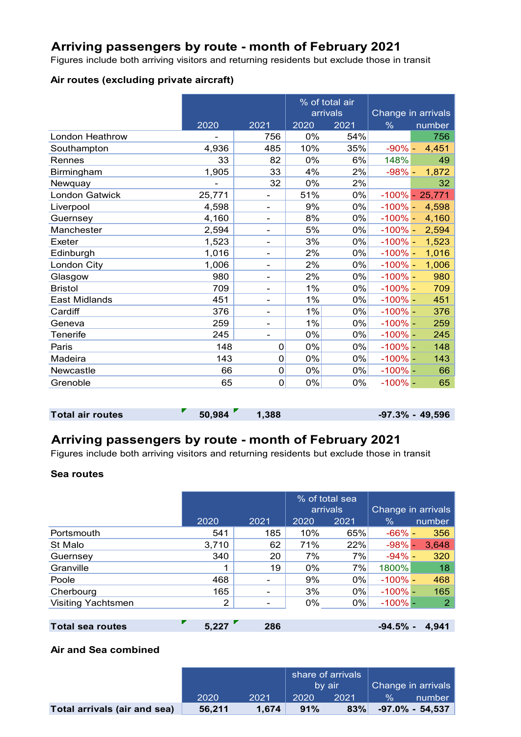## **Arriving passengers by route - month of February 2021**

Figures include both arriving visitors and returning residents but exclude those in transit

#### **Air routes (excluding private aircraft)**

|                        |        |                          | % of total air |          |            |                    |
|------------------------|--------|--------------------------|----------------|----------|------------|--------------------|
|                        |        |                          |                | arrivals |            | Change in arrivals |
|                        | 2020   | 2021                     | 2020           | 2021     | $\%$       | number             |
| <b>London Heathrow</b> |        | 756                      | 0%             | 54%      |            | 756                |
| Southampton            | 4,936  | 485                      | 10%            | 35%      | $-90% -$   | 4,451              |
| Rennes                 | 33     | 82                       | 0%             | 6%       | 148%       | 49                 |
| Birmingham             | 1,905  | 33                       | 4%             | 2%       | $-98% -$   | 1,872              |
| Newquay                |        | 32                       | 0%             | 2%       |            | 32                 |
| <b>London Gatwick</b>  | 25,771 | -                        | 51%            | 0%       |            | $-100\% - 25,771$  |
| Liverpool              | 4,598  | $\overline{\phantom{a}}$ | 9%             | 0%       | $-100% -$  | 4,598              |
| Guernsey               | 4,160  | -                        | 8%             | 0%       | $-100\% -$ | 4,160              |
| Manchester             | 2,594  | -                        | 5%             | 0%       | $-100\% -$ | 2,594              |
| Exeter                 | 1,523  | -                        | 3%             | 0%       | $-100\%$ - | 1,523              |
| Edinburgh              | 1,016  | -                        | 2%             | $0\%$    | $-100\%$ - | 1,016              |
| London City            | 1,006  | $\overline{\phantom{a}}$ | 2%             | 0%       | $-100\%$ - | 1,006              |
| Glasgow                | 980    |                          | 2%             | 0%       | $-100\%$ - | 980                |
| <b>Bristol</b>         | 709    |                          | 1%             | 0%       | $-100\%$ - | 709                |
| <b>East Midlands</b>   | 451    | $\overline{\phantom{0}}$ | 1%             | 0%       | $-100% -$  | 451                |
| Cardiff                | 376    | -                        | 1%             | 0%       | $-100% -$  | 376                |
| Geneva                 | 259    | -                        | 1%             | 0%       | $-100\%$ - | 259                |
| Tenerife               | 245    | $\overline{\phantom{0}}$ | 0%             | 0%       | $-100\%$ - | 245                |
| Paris                  | 148    | $\mathbf 0$              | 0%             | 0%       | $-100% -$  | 148                |
| Madeira                | 143    | $\Omega$                 | 0%             | 0%       | $-100\%$ - | 143                |
| Newcastle              | 66     | $\mathbf 0$              | 0%             | 0%       | $-100% -$  | 66                 |
| Grenoble               | 65     | 0                        | 0%             | $0\%$    | $-100\%$ - | 65                 |

```
Total air routes \begin{bmatrix} 50,984 & 1,388 \\ 1,388 & 1,388 \end{bmatrix} <b>-97.3% - 49,596
```
# **Arriving passengers by route - month of February 2021**

Figures include both arriving visitors and returning residents but exclude those in transit

#### **Sea routes**

|                           |       |      |       | % of total sea<br>arrivals |            | Change in arrivals |  |  |
|---------------------------|-------|------|-------|----------------------------|------------|--------------------|--|--|
|                           | 2020  | 2021 | 2020  | 2021                       | $\%$       | number             |  |  |
| Portsmouth                | 541   | 185  | 10%   | 65%                        | $-66% -$   | 356                |  |  |
| St Malo                   | 3,710 | 62   | 71%   | 22%                        | $-98% -$   | 3,648              |  |  |
| Guernsey                  | 340   | 20   | 7%    | 7%                         | $-94\%$ –  | 320                |  |  |
| Granville                 | 1     | 19   | $0\%$ | 7%                         | 1800%      | 18                 |  |  |
| Poole                     | 468   | -    | 9%    | 0%                         | $-100\%$ – | 468                |  |  |
| Cherbourg                 | 165   | ۰    | 3%    | 0%                         | $-100\%$ - | 165                |  |  |
| <b>Visiting Yachtsmen</b> | 2     | ۰    | 0%    | 0%                         | $-100\%$ - | 2                  |  |  |
|                           |       |      |       |                            |            |                    |  |  |
| <b>Total sea routes</b>   | 5.227 | 286  |       |                            | $-94.5%$ - | 4.941              |  |  |

## **Air and Sea combined**

|                              |        |       | share of arrivals |      |                    |                    |
|------------------------------|--------|-------|-------------------|------|--------------------|--------------------|
|                              |        |       | 7b∨ air <i>i</i>  |      | Change in arrivals |                    |
|                              | 2020   | 2021  | 2020              | 2021 | $\frac{9}{6}$      | number             |
| Total arrivals (air and sea) | 56.211 | 1.674 | 91%               | 83%  |                    | $-97.0\% - 54.537$ |